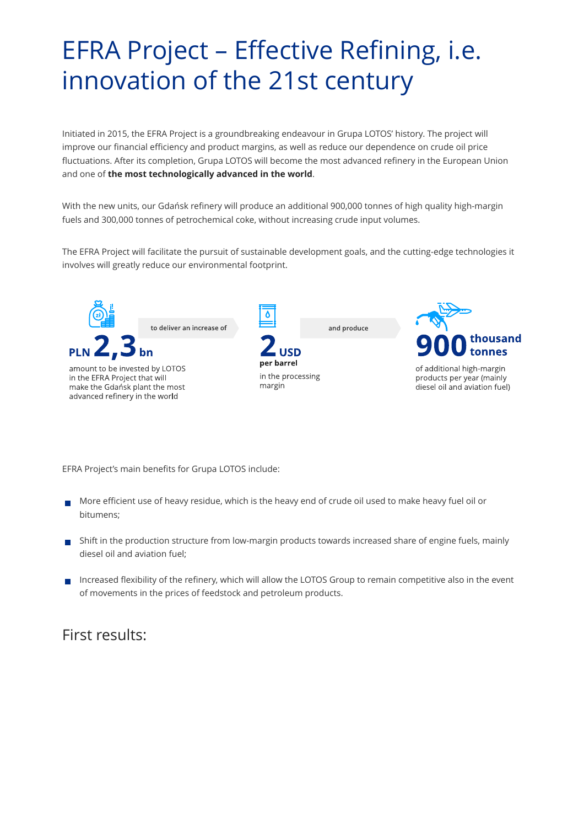# EFRA Project – Effective Refining, i.e. innovation of the 21st century

Initiated in 2015, the EFRA Project is a groundbreaking endeavour in Grupa LOTOS' history. The project will improve our financial efficiency and product margins, as well as reduce our dependence on crude oil price fluctuations. After its completion, Grupa LOTOS will become the most advanced refinery in the European Union and one of **the most technologically advanced in the world**.

With the new units, our Gdańsk refinery will produce an additional 900,000 tonnes of high quality high-margin fuels and 300,000 tonnes of petrochemical coke, without increasing crude input volumes.

The EFRA Project will facilitate the pursuit of sustainable development goals, and the cutting-edge technologies it involves will greatly reduce our environmental footprint.



EFRA Project's main benefits for Grupa LOTOS include:

- More efficient use of heavy residue, which is the heavy end of crude oil used to make heavy fuel oil or bitumens;
- Shift in the production structure from low-margin products towards increased share of engine fuels, mainly diesel oil and aviation fuel;
- Increased flexibility of the refinery, which will allow the LOTOS Group to remain competitive also in the event of movements in the prices of feedstock and petroleum products.

### First results: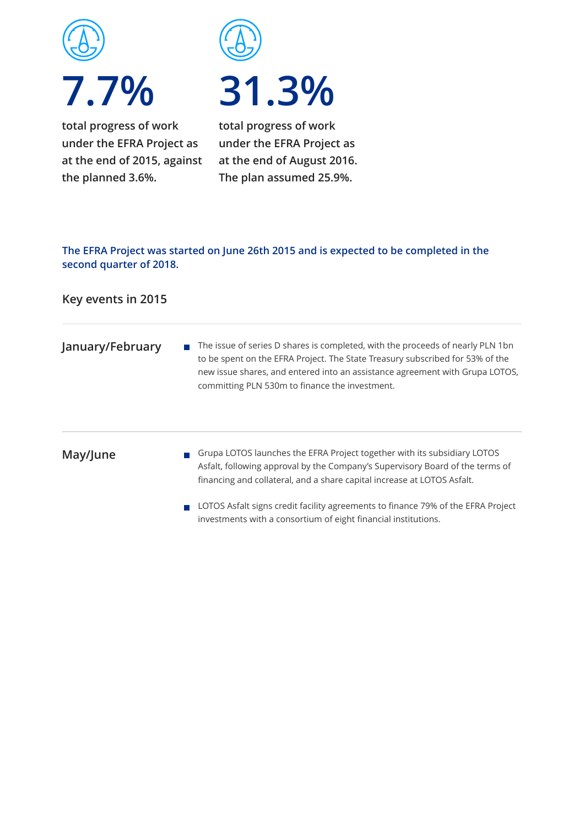

**under the EFRA Project as at the end of 2015, against the planned 3.6%.**



# **31.3%**

**total progress of work under the EFRA Project as at the end of August 2016. The plan assumed 25.9%.**

#### **The EFRA Project was started on June 26th 2015 and is expected to be completed in the second quarter of 2018.**

#### **Key events in 2015**

**January/February**  $\blacksquare$  The issue of series D shares is completed, with the proceeds of nearly PLN 1bn to be spent on the EFRA Project. The State Treasury subscribed for 53% of the new issue shares, and entered into an assistance agreement with Grupa LOTOS, committing PLN 530m to finance the investment.

#### **May/June**

- Grupa LOTOS launches the EFRA Project together with its subsidiary LOTOS Asfalt, following approval by the Company's Supervisory Board of the terms of financing and collateral, and a share capital increase at LOTOS Asfalt.
- LOTOS Asfalt signs credit facility agreements to finance 79% of the EFRA Project investments with a consortium of eight financial institutions.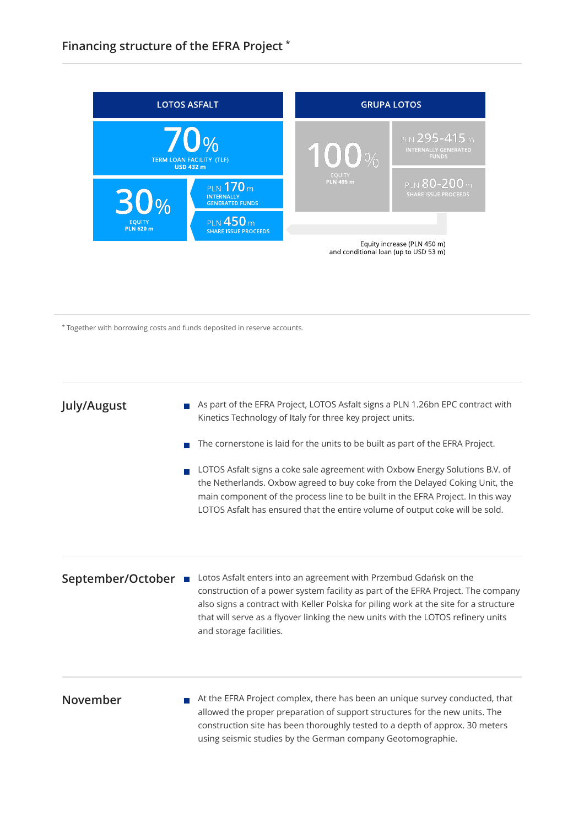

\* Together with borrowing costs and funds deposited in reserve accounts.

#### **July/August**

- As part of the EFRA Project, LOTOS Asfalt signs a PLN 1.26bn EPC contract with  $\mathcal{C}^{\mathcal{A}}$ Kinetics Technology of Italy for three key project units.
- The cornerstone is laid for the units to be built as part of the EFRA Project.  $\overline{\phantom{a}}$
- LOTOS Asfalt signs a coke sale agreement with Oxbow Energy Solutions B.V. of  $\overline{\phantom{a}}$ the Netherlands. Oxbow agreed to buy coke from the Delayed Coking Unit, the main component of the process line to be built in the EFRA Project. In this way LOTOS Asfalt has ensured that the entire volume of output coke will be sold.

#### **September/October**

Lotos Asfalt enters into an agreement with Przembud Gdańsk on the construction of a power system facility as part of the EFRA Project. The company also signs a contract with Keller Polska for piling work at the site for a structure that will serve as a flyover linking the new units with the LOTOS refinery units and storage facilities.

#### **November**

 $\blacksquare$  At the EFRA Project complex, there has been an unique survey conducted, that allowed the proper preparation of support structures for the new units. The construction site has been thoroughly tested to a depth of approx. 30 meters using seismic studies by the German company Geotomographie.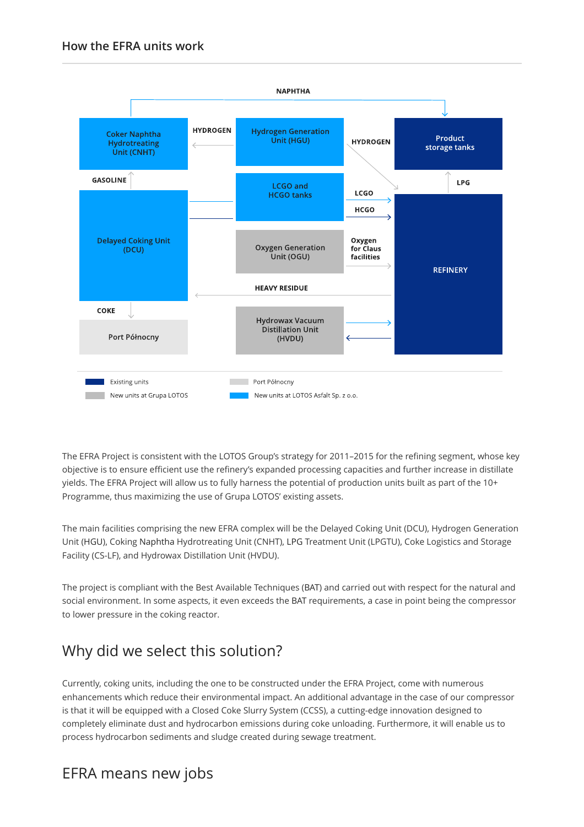

The EFRA Project is consistent with the LOTOS Group's strategy for 2011–2015 for the refining segment, whose key objective is to ensure efficient use the refinery's expanded processing capacities and further increase in distillate yields. The EFRA Project will allow us to fully harness the potential of production units built as part of the 10+ Programme, thus maximizing the use of Grupa LOTOS' existing assets.

The main facilities comprising the new EFRA complex will be the Delayed Coking Unit (DCU), Hydrogen Generation Unit (HGU), Coking Naphtha Hydrotreating Unit (CNHT), LPG Treatment Unit (LPGTU), Coke Logistics and Storage Facility (CS-LF), and Hydrowax Distillation Unit (HVDU).

The project is compliant with the Best Available Techniques (BAT) and carried out with respect for the natural and social environment. In some aspects, it even exceeds the BAT requirements, a case in point being the compressor to lower pressure in the coking reactor.

# Why did we select this solution?

Currently, coking units, including the one to be constructed under the EFRA Project, come with numerous enhancements which reduce their environmental impact. An additional advantage in the case of our compressor is that it will be equipped with a Closed Coke Slurry System (CCSS), a cutting-edge innovation designed to completely eliminate dust and hydrocarbon emissions during coke unloading. Furthermore, it will enable us to process hydrocarbon sediments and sludge created during sewage treatment.

## EFRA means new jobs